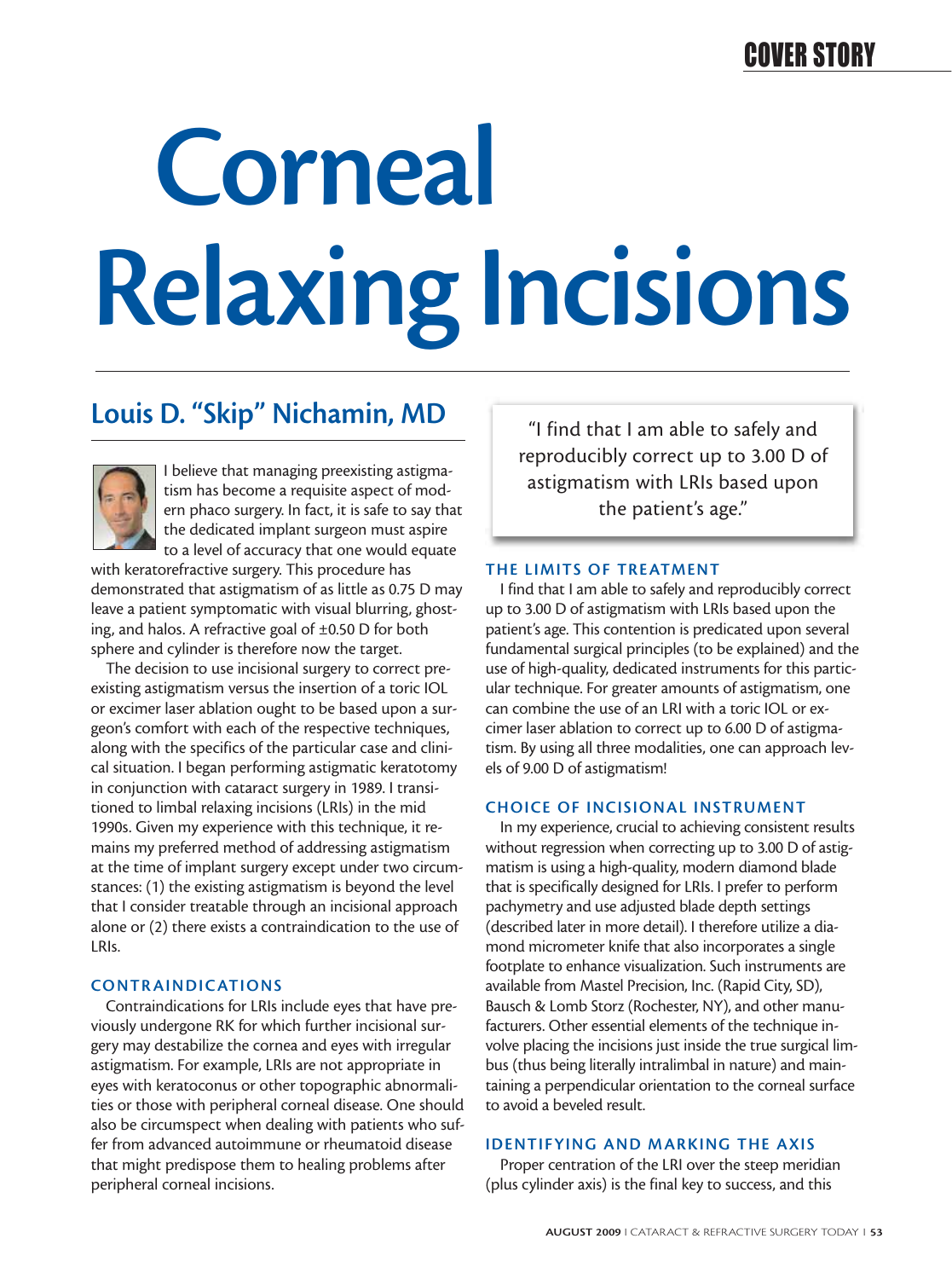# **Corneal Relaxing Incisions**

## **Louis D. "Skip" Nichamin, MD**



I believe that managing preexisting astigmatism has become a requisite aspect of modern phaco surgery. In fact, it is safe to say that the dedicated implant surgeon must aspire to a level of accuracy that one would equate

with keratorefractive surgery. This procedure has demonstrated that astigmatism of as little as 0.75 D may leave a patient symptomatic with visual blurring, ghosting, and halos. A refractive goal of ±0.50 D for both sphere and cylinder is therefore now the target.

The decision to use incisional surgery to correct preexisting astigmatism versus the insertion of a toric IOL or excimer laser ablation ought to be based upon a surgeon's comfort with each of the respective techniques, along with the specifics of the particular case and clinical situation. I began performing astigmatic keratotomy in conjunction with cataract surgery in 1989. I transitioned to limbal relaxing incisions (LRIs) in the mid 1990s. Given my experience with this technique, it remains my preferred method of addressing astigmatism at the time of implant surgery except under two circumstances: (1) the existing astigmatism is beyond the level that I consider treatable through an incisional approach alone or (2) there exists a contraindication to the use of LRIs.

#### **CONTR AINDICATIONS**

Contraindications for LRIs include eyes that have previously undergone RK for which further incisional surgery may destabilize the cornea and eyes with irregular astigmatism. For example, LRIs are not appropriate in eyes with keratoconus or other topographic abnormalities or those with peripheral corneal disease. One should also be circumspect when dealing with patients who suffer from advanced autoimmune or rheumatoid disease that might predispose them to healing problems after peripheral corneal incisions.

"I find that I am able to safely and reproducibly correct up to 3.00 D of astigmatism with LRIs based upon the patient's age."

#### **THE LIMITS OF TREATMENT**

I find that I am able to safely and reproducibly correct up to 3.00 D of astigmatism with LRIs based upon the patient's age. This contention is predicated upon several fundamental surgical principles (to be explained) and the use of high-quality, dedicated instruments for this particular technique. For greater amounts of astigmatism, one can combine the use of an LRI with a toric IOL or excimer laser ablation to correct up to 6.00 D of astigmatism. By using all three modalities, one can approach levels of 9.00 D of astigmatism!

#### **CHOICE OF INCISIONAL INSTRUMENT**

In my experience, crucial to achieving consistent results without regression when correcting up to 3.00 D of astigmatism is using a high-quality, modern diamond blade that is specifically designed for LRIs. I prefer to perform pachymetry and use adjusted blade depth settings (described later in more detail). I therefore utilize a diamond micrometer knife that also incorporates a single footplate to enhance visualization. Such instruments are available from Mastel Precision, Inc. (Rapid City, SD), Bausch & Lomb Storz (Rochester, NY), and other manufacturers. Other essential elements of the technique involve placing the incisions just inside the true surgical limbus (thus being literally intralimbal in nature) and maintaining a perpendicular orientation to the corneal surface to avoid a beveled result.

#### **IDENTIFYING AND MARKING THE AXIS**

Proper centration of the LRI over the steep meridian (plus cylinder axis) is the final key to success, and this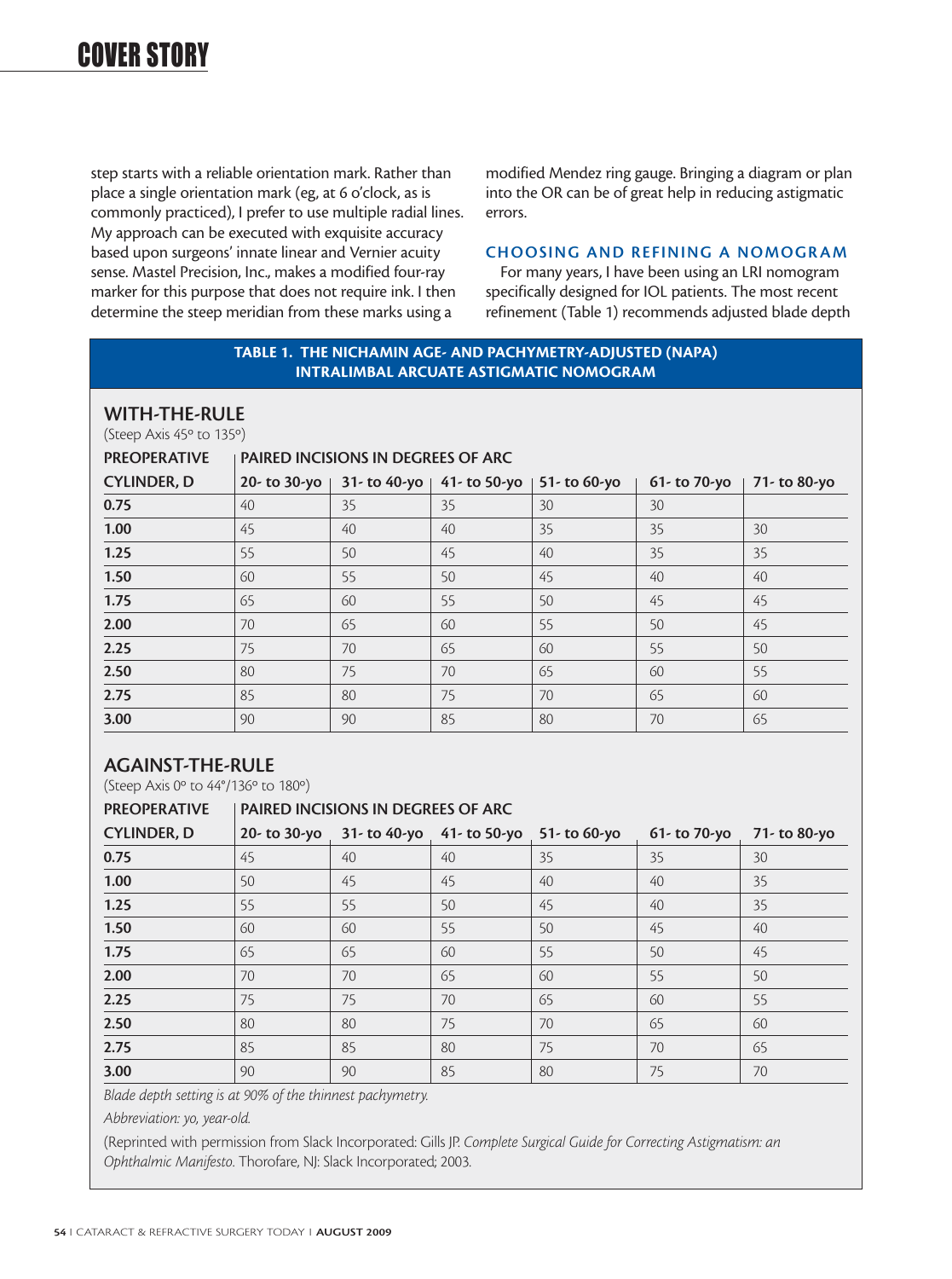step starts with a reliable orientation mark. Rather than place a single orientation mark (eg, at 6 o'clock, as is commonly practiced), I prefer to use multiple radial lines. My approach can be executed with exquisite accuracy based upon surgeons' innate linear and Vernier acuity sense. Mastel Precision, Inc., makes a modified four-ray marker for this purpose that does not require ink. I then determine the steep meridian from these marks using a

modified Mendez ring gauge. Bringing a diagram or plan into the OR can be of great help in reducing astigmatic errors.

#### **CHOOSING AND REFINING A NOMOGRAM**

For many years, I have been using an LRI nomogram specifically designed for IOL patients. The most recent refinement (Table 1) recommends adjusted blade depth

#### **TABLE 1. THE NICHAMIN AGE- AND PACHYMETRY-ADJUSTED (NAPA) INTRALIMBAL ARCUATE ASTIGMATIC NOMOGRAM**

#### **WITH-THE-RULE**

(Steep Axis 45º to 135º)

#### PREOPERATIVE **PAIRED INCISIONS IN DEGREES OF ARC**

| <b>CYLINDER, D</b> |    |    | 20- to 30-yo   31- to 40-yo   41- to 50-yo | 51- to 60-yo | 61- to 70-yo | 71- to 80-yo |
|--------------------|----|----|--------------------------------------------|--------------|--------------|--------------|
| 0.75               | 40 | 35 | 35                                         | 30           | 30           |              |
| 1.00               | 45 | 40 | 40                                         | 35           | 35           | 30           |
| 1.25               | 55 | 50 | 45                                         | 40           | 35           | 35           |
| 1.50               | 60 | 55 | 50                                         | 45           | 40           | 40           |
| 1.75               | 65 | 60 | 55                                         | 50           | 45           | 45           |
| 2.00               | 70 | 65 | 60                                         | 55           | 50           | 45           |
| 2.25               | 75 | 70 | 65                                         | 60           | 55           | 50           |
| 2.50               | 80 | 75 | 70                                         | 65           | 60           | 55           |
| 2.75               | 85 | 80 | 75                                         | 70           | 65           | 60           |
| 3.00               | 90 | 90 | 85                                         | 80           | 70           | 65           |

#### **AGAINST-THE-RULE**

(Steep Axis 0º to 44°/136º to 180º)

| <b>PREOPERATIVE</b> | <b>PAIRED INCISIONS IN DEGREES OF ARC</b> |    |                              |              |                 |              |
|---------------------|-------------------------------------------|----|------------------------------|--------------|-----------------|--------------|
| <b>CYLINDER, D</b>  | $20 -$ to $30 -$ yo                       |    | $31 -$ to 40-yo 41- to 50-yo | 51- to 60-yo | 61- to $70-y$ o | 71- to 80-yo |
| 0.75                | 45                                        | 40 | $40^{1}$                     | 35           | 35              | 30           |
| 1.00                | 50                                        | 45 | 45                           | 40           | 40              | 35           |
| 1.25                | 55                                        | 55 | 50                           | 45           | 40              | 35           |
| 1.50                | 60                                        | 60 | 55                           | 50           | 45              | 40           |
| 1.75                | 65                                        | 65 | 60                           | 55           | 50              | 45           |
| 2.00                | 70                                        | 70 | 65                           | 60           | 55              | 50           |
| 2.25                | 75                                        | 75 | 70                           | 65           | 60              | 55           |
| 2.50                | 80                                        | 80 | 75                           | 70           | 65              | 60           |
| 2.75                | 85                                        | 85 | 80                           | 75           | 70              | 65           |
| 3.00                | 90                                        | 90 | 85                           | 80           | 75              | 70           |

*Blade depth setting is at 90% of the thinnest pachymetry.*

*Abbreviation: yo, year-old.*

(Reprinted with permission from Slack Incorporated: Gills JP. *Complete Surgical Guide for Correcting Astigmatism: an Ophthalmic Manifesto*. Thorofare, NJ: Slack Incorporated; 2003.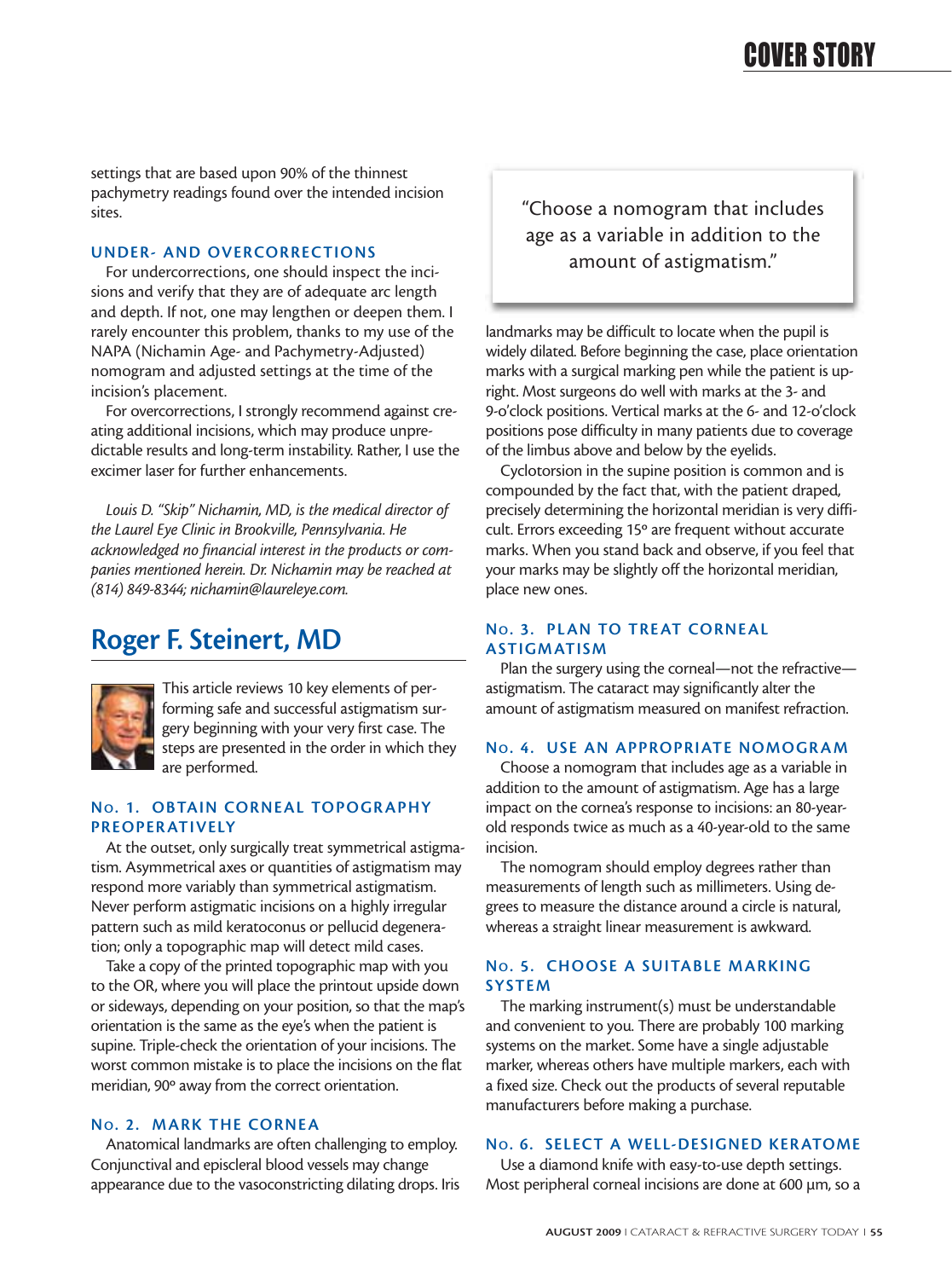settings that are based upon 90% of the thinnest pachymetry readings found over the intended incision sites.

#### **UNDER- AND OVERCORRECTIONS**

For undercorrections, one should inspect the incisions and verify that they are of adequate arc length and depth. If not, one may lengthen or deepen them. I rarely encounter this problem, thanks to my use of the NAPA (Nichamin Age- and Pachymetry-Adjusted) nomogram and adjusted settings at the time of the incision's placement.

For overcorrections, I strongly recommend against creating additional incisions, which may produce unpredictable results and long-term instability. Rather, I use the excimer laser for further enhancements.

*Louis D. "Skip" Nichamin, MD, is the medical director of the Laurel Eye Clinic in Brookville, Pennsylvania. He acknowledged no financial interest in the products or companies mentioned herein. Dr. Nichamin may be reached at (814) 849-8344; nichamin@laureleye.com.* 

## **Roger F. Steinert, MD**



This article reviews 10 key elements of performing safe and successful astigmatism surgery beginning with your very first case. The steps are presented in the order in which they are performed.

#### **No. 1. OBTAIN CORNEAL TOPOGRAPHY PREOPER ATIVELY**

At the outset, only surgically treat symmetrical astigmatism. Asymmetrical axes or quantities of astigmatism may respond more variably than symmetrical astigmatism. Never perform astigmatic incisions on a highly irregular pattern such as mild keratoconus or pellucid degeneration; only a topographic map will detect mild cases.

Take a copy of the printed topographic map with you to the OR, where you will place the printout upside down or sideways, depending on your position, so that the map's orientation is the same as the eye's when the patient is supine. Triple-check the orientation of your incisions. The worst common mistake is to place the incisions on the flat meridian, 90º away from the correct orientation.

#### **NO. 2. MARK THE CORNEA**

Anatomical landmarks are often challenging to employ. Conjunctival and episcleral blood vessels may change appearance due to the vasoconstricting dilating drops. Iris "Choose a nomogram that includes age as a variable in addition to the amount of astigmatism."

landmarks may be difficult to locate when the pupil is widely dilated. Before beginning the case, place orientation marks with a surgical marking pen while the patient is upright. Most surgeons do well with marks at the 3- and 9-o'clock positions. Vertical marks at the 6- and 12-o'clock positions pose difficulty in many patients due to coverage of the limbus above and below by the eyelids.

Cyclotorsion in the supine position is common and is compounded by the fact that, with the patient draped, precisely determining the horizontal meridian is very difficult. Errors exceeding 15º are frequent without accurate marks. When you stand back and observe, if you feel that your marks may be slightly off the horizontal meridian, place new ones.

#### **NO. 3. PLAN TO TREAT CORNEAL ASTIGMATISM**

Plan the surgery using the corneal—not the refractive astigmatism. The cataract may significantly alter the amount of astigmatism measured on manifest refraction.

#### **No. 4. USE AN APPROPRIATE NOMOGRAM**

Choose a nomogram that includes age as a variable in addition to the amount of astigmatism. Age has a large impact on the cornea's response to incisions: an 80-yearold responds twice as much as a 40-year-old to the same incision.

The nomogram should employ degrees rather than measurements of length such as millimeters. Using degrees to measure the distance around a circle is natural, whereas a straight linear measurement is awkward.

#### **NO. 5. CHOOSE A SUITABLE MARKING SYSTEM**

The marking instrument(s) must be understandable and convenient to you. There are probably 100 marking systems on the market. Some have a single adjustable marker, whereas others have multiple markers, each with a fixed size. Check out the products of several reputable manufacturers before making a purchase.

#### **NO. 6. SELECT A WELL-DESIGNED KER ATOME**

Use a diamond knife with easy-to-use depth settings. Most peripheral corneal incisions are done at 600 µm, so a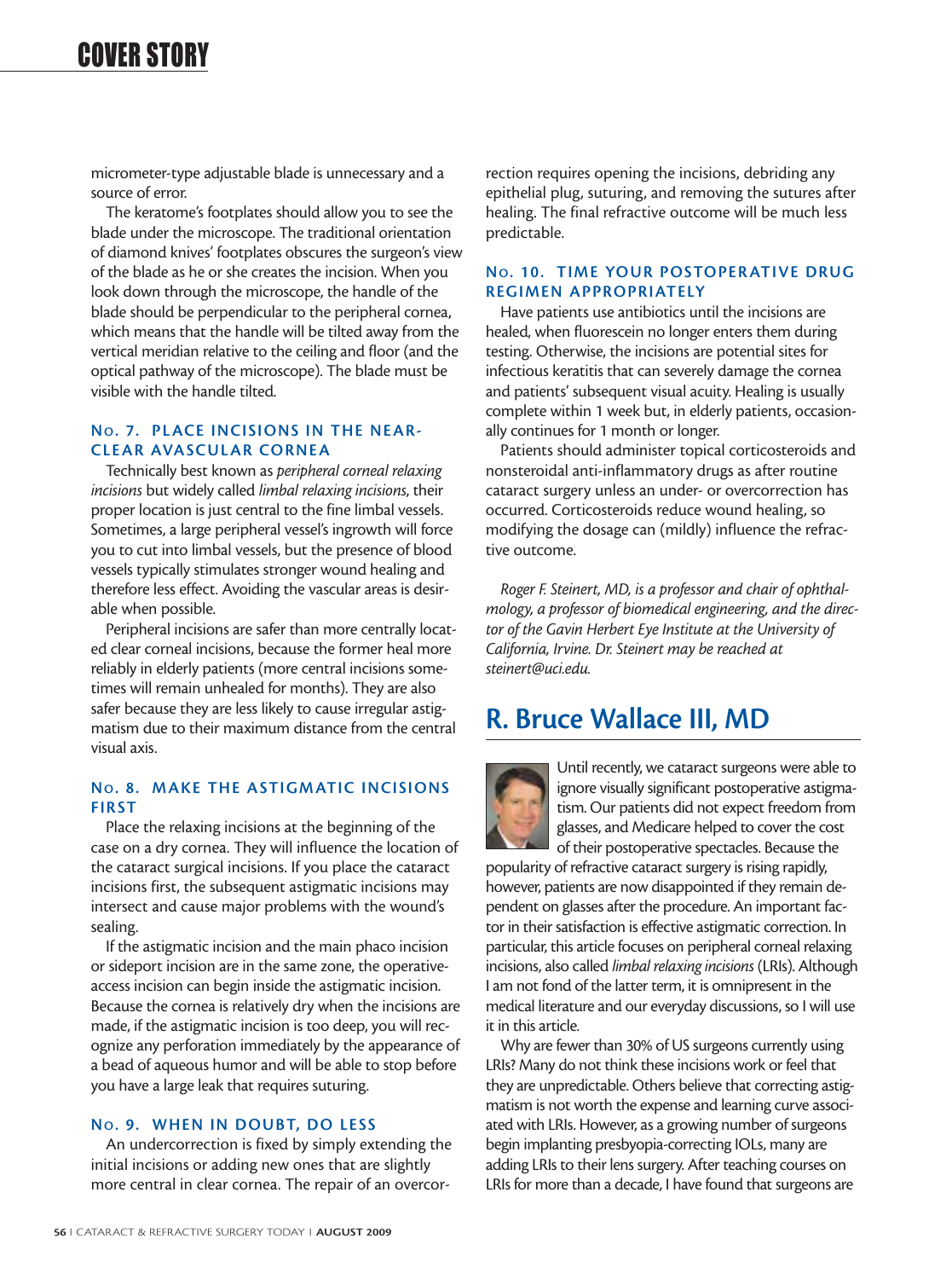micrometer-type adjustable blade is unnecessary and a source of error.

The keratome's footplates should allow you to see the blade under the microscope. The traditional orientation of diamond knives' footplates obscures the surgeon's view of the blade as he or she creates the incision. When you look down through the microscope, the handle of the blade should be perpendicular to the peripheral cornea, which means that the handle will be tilted away from the vertical meridian relative to the ceiling and floor (and the optical pathway of the microscope). The blade must be visible with the handle tilted.

#### **NO. 7. PLACE INCISIONS IN THE NEAR-CLEAR AVASCULAR CORNEA**

Technically best known as *peripheral corneal relaxing incisions* but widely called *limbal relaxing incisions*, their proper location is just central to the fine limbal vessels. Sometimes, a large peripheral vessel's ingrowth will force you to cut into limbal vessels, but the presence of blood vessels typically stimulates stronger wound healing and therefore less effect. Avoiding the vascular areas is desirable when possible.

Peripheral incisions are safer than more centrally located clear corneal incisions, because the former heal more reliably in elderly patients (more central incisions sometimes will remain unhealed for months). They are also safer because they are less likely to cause irregular astigmatism due to their maximum distance from the central visual axis.

#### **NO. 8. MAKE THE ASTIGMATIC INCISIONS FIRST**

Place the relaxing incisions at the beginning of the case on a dry cornea. They will influence the location of the cataract surgical incisions. If you place the cataract incisions first, the subsequent astigmatic incisions may intersect and cause major problems with the wound's sealing.

If the astigmatic incision and the main phaco incision or sideport incision are in the same zone, the operativeaccess incision can begin inside the astigmatic incision. Because the cornea is relatively dry when the incisions are made, if the astigmatic incision is too deep, you will recognize any perforation immediately by the appearance of a bead of aqueous humor and will be able to stop before you have a large leak that requires suturing.

#### **NO. 9. WHEN IN DOUBT, DO LESS**

An undercorrection is fixed by simply extending the initial incisions or adding new ones that are slightly more central in clear cornea. The repair of an overcorrection requires opening the incisions, debriding any epithelial plug, suturing, and removing the sutures after healing. The final refractive outcome will be much less predictable.

#### **NO. 10. TIME YOUR POSTOPER ATIVE DRUG REGIMEN APPROPRIATELY**

Have patients use antibiotics until the incisions are healed, when fluorescein no longer enters them during testing. Otherwise, the incisions are potential sites for infectious keratitis that can severely damage the cornea and patients' subsequent visual acuity. Healing is usually complete within 1 week but, in elderly patients, occasionally continues for 1 month or longer.

Patients should administer topical corticosteroids and nonsteroidal anti-inflammatory drugs as after routine cataract surgery unless an under- or overcorrection has occurred. Corticosteroids reduce wound healing, so modifying the dosage can (mildly) influence the refractive outcome.

*Roger F. Steinert, MD, is a professor and chair of ophthalmology, a professor of biomedical engineering, and the director of the Gavin Herbert Eye Institute at the University of California, Irvine. Dr. Steinert may be reached at steinert@uci.edu.*

### **R. Bruce Wallace III, MD**



Until recently, we cataract surgeons were able to ignore visually significant postoperative astigmatism. Our patients did not expect freedom from glasses, and Medicare helped to cover the cost of their postoperative spectacles. Because the

popularity of refractive cataract surgery is rising rapidly, however, patients are now disappointed if they remain dependent on glasses after the procedure. An important factor in their satisfaction is effective astigmatic correction. In particular, this article focuses on peripheral corneal relaxing incisions, also called *limbal relaxing incisions* (LRIs). Although I am not fond of the latter term, it is omnipresent in the medical literature and our everyday discussions, so I will use it in this article.

Why are fewer than 30% of US surgeons currently using LRIs? Many do not think these incisions work or feel that they are unpredictable. Others believe that correcting astigmatism is not worth the expense and learning curve associated with LRIs. However, as a growing number of surgeons begin implanting presbyopia-correcting IOLs, many are adding LRIs to their lens surgery. After teaching courses on LRIs for more than a decade, I have found that surgeons are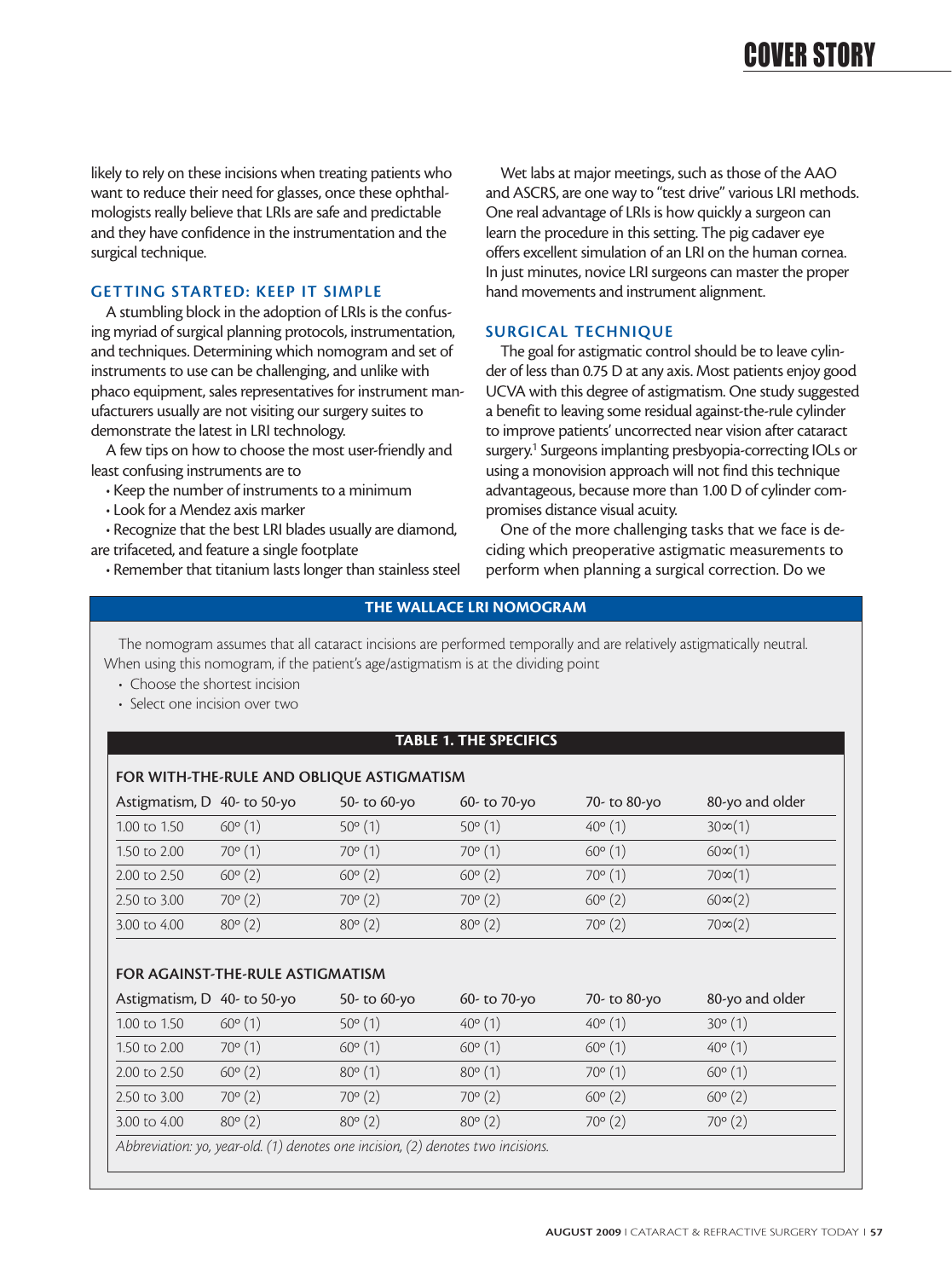likely to rely on these incisions when treating patients who want to reduce their need for glasses, once these ophthalmologists really believe that LRIs are safe and predictable and they have confidence in the instrumentation and the surgical technique.

#### **GETTING STARTED: KEEP IT SIMPLE**

A stumbling block in the adoption of LRIs is the confusing myriad of surgical planning protocols, instrumentation, and techniques. Determining which nomogram and set of instruments to use can be challenging, and unlike with phaco equipment, sales representatives for instrument manufacturers usually are not visiting our surgery suites to demonstrate the latest in LRI technology.

A few tips on how to choose the most user-friendly and least confusing instruments are to

• Keep the number of instruments to a minimum

• Look for a Mendez axis marker

• Recognize that the best LRI blades usually are diamond,

are trifaceted, and feature a single footplate

• Remember that titanium lasts longer than stainless steel

Wet labs at major meetings, such as those of the AAO and ASCRS, are one way to "test drive" various LRI methods. One real advantage of LRIs is how quickly a surgeon can learn the procedure in this setting. The pig cadaver eye offers excellent simulation of an LRI on the human cornea. In just minutes, novice LRI surgeons can master the proper hand movements and instrument alignment.

#### **SURGICAL TECHNIQUE**

The goal for astigmatic control should be to leave cylinder of less than 0.75 D at any axis. Most patients enjoy good UCVA with this degree of astigmatism. One study suggested a benefit to leaving some residual against-the-rule cylinder to improve patients' uncorrected near vision after cataract surgery.<sup>1</sup> Surgeons implanting presbyopia-correcting IOLs or using a monovision approach will not find this technique advantageous, because more than 1.00 D of cylinder compromises distance visual acuity.

One of the more challenging tasks that we face is deciding which preoperative astigmatic measurements to perform when planning a surgical correction. Do we

#### **THE WALLACE LRI NOMOGRAM**

The nomogram assumes that all cataract incisions are performed temporally and are relatively astigmatically neutral. When using this nomogram, if the patient's age/astigmatism is at the dividing point

- Choose the shortest incision
- Select one incision over two

#### **TABLE 1. THE SPECIFICS**

| FOR WITH-THE-RULE AND OBLIQUE ASTIGMATISM |                  |                  |                  |                  |                 |  |
|-------------------------------------------|------------------|------------------|------------------|------------------|-----------------|--|
| Astigmatism, D 40- to 50-yo               |                  | 50- to 60-yo     | 60- to 70-yo     | 70- to 80-yo     | 80-yo and older |  |
| 1.00 to 1.50                              | $60^{\circ}$ (1) | $50^{\circ}$ (1) | $50^{\circ}$ (1) | $40^{\circ}$ (1) | $30\infty(1)$   |  |
| 1.50 to 2.00                              | $70^{\circ}$ (1) | $70^{\circ}$ (1) | $70^{\circ}$ (1) | $60^{\circ}$ (1) | $60\infty(1)$   |  |
| 2.00 to 2.50                              | $60^{\circ}$ (2) | $60^{\circ}$ (2) | $60^{\circ}$ (2) | $70^{\circ}$ (1) | $70\infty(1)$   |  |
| 2.50 to 3.00                              | $70^{\circ}$ (2) | $70^{\circ}$ (2) | $70^{\circ}$ (2) | $60^{\circ}$ (2) | $60\infty(2)$   |  |
| 3.00 to 4.00                              | $80^{\circ}$ (2) | $80^{\circ}$ (2) | $80^{\circ}$ (2) | $70^{\circ}$ (2) | $70\infty(2)$   |  |
|                                           |                  |                  |                  |                  |                 |  |

#### **FOR AGAINST-THE-RULE ASTIGMATISM**

|                                                                                  | Astigmatism, D 40- to 50-yo | 50- to 60-yo     | 60- to 70-yo     | 70- to 80-yo     | 80-yo and older  |  |
|----------------------------------------------------------------------------------|-----------------------------|------------------|------------------|------------------|------------------|--|
| 1.00 to 1.50                                                                     | $60^{\circ}$ (1)            | $50^{\circ}$ (1) | $40^{\circ}$ (1) | $40^{\circ}$ (1) | $30^{\circ}$ (1) |  |
| 1.50 to 2.00                                                                     | $70^{\circ}$ (1)            | $60^{\circ}$ (1) | $60^{\circ}$ (1) | $60^{\circ}$ (1) | $40^{\circ}$ (1) |  |
| 2.00 to 2.50                                                                     | $60^{\circ}$ (2)            | $80^{\circ}$ (1) | $80^{\circ}$ (1) | $70^{\circ}$ (1) | $60^{\circ}$ (1) |  |
| 2.50 to 3.00                                                                     | $70^{\circ}$ (2)            | $70^{\circ}$ (2) | $70^{\circ}$ (2) | $60^{\circ}$ (2) | $60^{\circ}$ (2) |  |
| 3.00 to 4.00                                                                     | $80^{\circ}$ (2)            | $80^{\circ}$ (2) | $80^{\circ}$ (2) | $70^{\circ}$ (2) | $70^{\circ}$ (2) |  |
| Abbreviation: yo, year-old. (1) denotes one incision, (2) denotes two incisions. |                             |                  |                  |                  |                  |  |